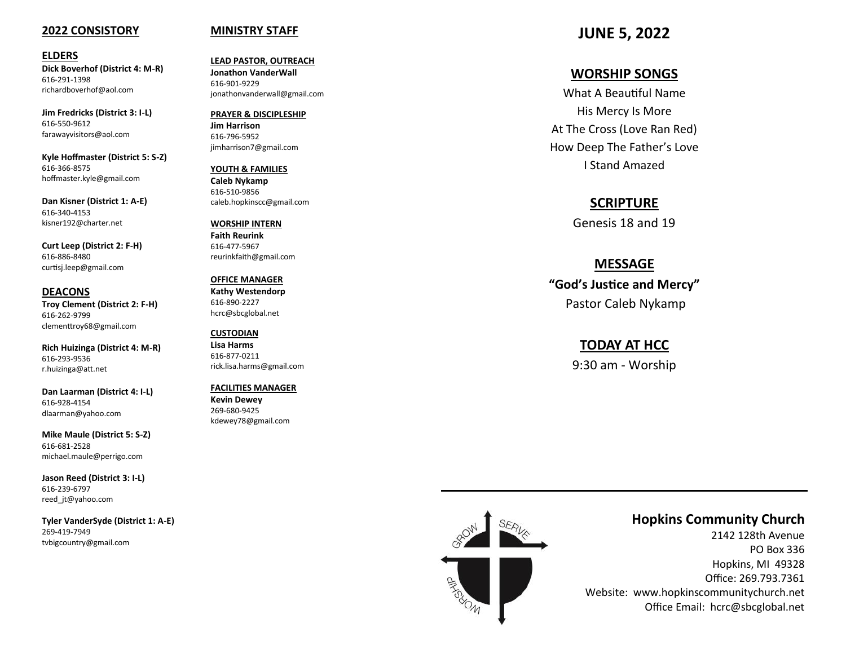### **2022 CONSISTORY**

#### **ELDERS**

**Dick Boverhof (District 4: M -R)** 616 -291 -1398 richardboverhof@aol.com

**Jim Fredricks (District 3: I -L)** 616 -550 -9612 farawayvisitors@aol.com

**Kyle Hoffmaster (District 5: S -Z)** 616 -366 -8575 hoffmaster.kyle@gmail.com

**Dan Kisner (District 1: A -E)** 616 -340 -4153 kisner192@charter.net

**Curt Leep (District 2: F -H)** 616 -886 -8480 curtisj.leep@gmail.com

**DEACONS Troy Clement (District 2: F -H)** 616 -262 -9799 clementtroy68@gmail.com

**Rich Huizinga (District 4: M -R)** 616 -293 -9536 r.huizinga@att.net

**Dan Laarman (District 4: I -L)** 616 -928 -4154 dlaarman@yahoo.com

**Mike Maule (District 5: S -Z)** 616 -681 -2528 michael.maule@perrigo.com

**Jason Reed (District 3: I -L)** 616 -239 -6797 reed\_jt@yahoo.com

**Tyler VanderSyde (District 1: A -E)** 269 -419 -7949 tvbigcountry@gmail.com

### **MINISTRY STAFF**

**LEAD PASTOR, OUTREACH Jonathon VanderWall**  616 -901 -9229 jonathonvanderwall@gmail.com

**PRAYER & DISCIPLESHIP Jim Harrison** 616 -796 -5952 jimharrison7@gmail.com

**YOUTH & FAMILIES Caleb Nykamp** 616 -510 -9856 caleb.hopkinscc@gmail.com

**WORSHIP INTERN Faith Reurink** 616 -477 -5967 reurinkfaith@gmail.com

**OFFICE MANAGER Kathy Westendorp** 616 -890 -2227 hcrc@sbcglobal.net

**CUSTODIAN Lisa Harms** 616 -877 -0211 rick.lisa.harms@gmail.com

**FACILITIES MANAGER Kevin Dewey** 269 -680 -9425 kdewey78@gmail.com

**JUNE 5, 2022**

### **WORSHIP SONGS**

What A Beautiful Name His Mercy Is More At The Cross (Love Ran Red) How Deep The Father 's Love I Stand Amazed

### **SCRIPTURE**

Genesis 18 and 19

### **MESSAGE**

**"God 's Justice and Mercy"**  Pastor Caleb Nykamp

### **TODAY AT HCC**

9:30 am - Worship



### **Hopkins Community Church**

2142 128th Avenue PO Box 336 Hopkins, MI 49328 Office: 269.793.7361 Website: www.hopkinscommunitychurch.net Office Email: hcrc@sbcglobal.net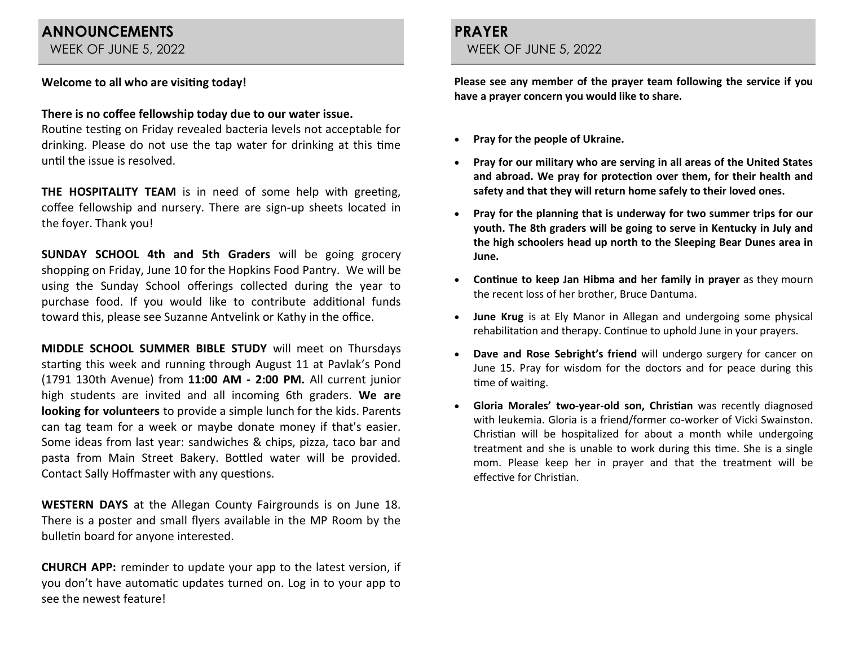# **ANNOUNCEMENTS**

WEEK OF JUNE 5, 2022

### **Welcome to all who are visiting today!**

### **There is no coffee fellowship today due to our water issue.**

Routine testing on Friday revealed bacteria levels not acceptable for drinking. Please do not use the tap water for drinking at this time until the issue is resolved.

**THE HOSPITALITY TEAM** is in need of some help with greeting, coffee fellowship and nursery. There are sign-up sheets located in the foyer. Thank you!

**SUNDAY SCHOOL 4th and 5th Graders** will be going grocery shopping on Friday, June 10 for the Hopkins Food Pantry. We will be using the Sunday School offerings collected during the year to purchase food. If you would like to contribute additional funds toward this, please see Suzanne Antvelink or Kathy in the office.

**MIDDLE SCHOOL SUMMER BIBLE STUDY** will meet on Thursdays starting this week and running through August 11 at Pavlak's Pond (1791 130th Avenue) from **11:00 AM - 2:00 PM.** All current junior high students are invited and all incoming 6th graders. **We are looking for volunteers** to provide a simple lunch for the kids. Parents can tag team for a week or maybe donate money if that's easier. Some ideas from last year: sandwiches & chips, pizza, taco bar and pasta from Main Street Bakery. Bottled water will be provided. Contact Sally Hoffmaster with any questions.

**WESTERN DAYS** at the Allegan County Fairgrounds is on June 18. There is a poster and small flyers available in the MP Room by the bulletin board for anyone interested.

**CHURCH APP:** reminder to update your app to the latest version, if you don't have automatic updates turned on. Log in to your app to see the newest feature!

### **PRAYER**  WEEK OF JUNE 5, 2022

**Please see any member of the prayer team following the service if you have a prayer concern you would like to share.**

- **Pray for the people of Ukraine.**
- **Pray for our military who are serving in all areas of the United States and abroad. We pray for protection over them, for their health and safety and that they will return home safely to their loved ones.**
- **Pray for the planning that is underway for two summer trips for our youth. The 8th graders will be going to serve in Kentucky in July and the high schoolers head up north to the Sleeping Bear Dunes area in June.**
- **Continue to keep Jan Hibma and her family in prayer** as they mourn the recent loss of her brother, Bruce Dantuma.
- **June Krug** is at Ely Manor in Allegan and undergoing some physical rehabilitation and therapy. Continue to uphold June in your prayers.
- **Dave and Rose Sebright's friend** will undergo surgery for cancer on June 15. Pray for wisdom for the doctors and for peace during this time of waiting.
- **Gloria Morales' two-year-old son, Christian** was recently diagnosed with leukemia. Gloria is a friend/former co-worker of Vicki Swainston. Christian will be hospitalized for about a month while undergoing treatment and she is unable to work during this time. She is a single mom. Please keep her in prayer and that the treatment will be effective for Christian.